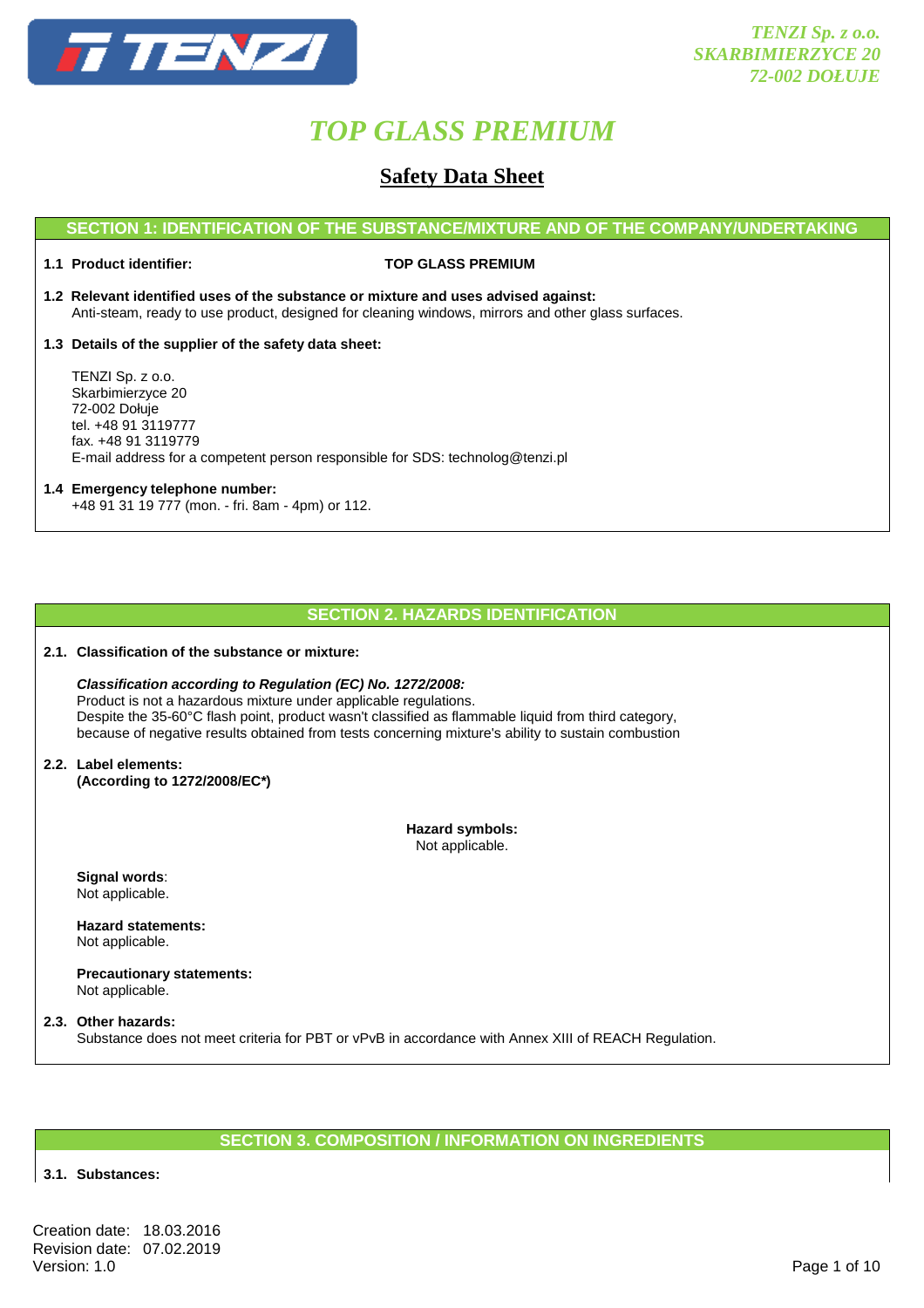

### **Safety Data Sheet**

#### **SECTION 1: IDENTIFICATION OF THE SUBSTANCE/MIXTURE AND OF THE COMPANY/UNDERTAKING**

#### **1.1 Product identifier: TOP GLASS PREMIUM**

- **1.2 Relevant identified uses of the substance or mixture and uses advised against:** Anti-steam, ready to use product, designed for cleaning windows, mirrors and other glass surfaces.
- **1.3 Details of the supplier of the safety data sheet:**

 TENZI Sp. z o.o. Skarbimierzyce 20 72-002 Dołuje tel. +48 91 3119777 fax. +48 91 3119779 E-mail address for a competent person responsible for SDS: technolog@tenzi.pl

### **1.4 Emergency telephone number:**

+48 91 31 19 777 (mon. - fri. 8am - 4pm) or 112.

#### **SECTION 2. HAZARDS IDENTIFICATION**

#### **2.1. Classification of the substance or mixture:**

#### **Classification according to Regulation (EC) No. 1272/2008:** Product is not a hazardous mixture under applicable regulations. Despite the 35-60°C flash point, product wasn't classified as flammable liquid from third category, because of negative results obtained from tests concerning mixture's ability to sustain combustion

**2.2. Label elements: (According to 1272/2008/EC\*)** 

> **Hazard symbols:**  Not applicable.

 **Signal words**: Not applicable.

 **Hazard statements:**  Not applicable.

 **Precautionary statements:**  Not applicable.

#### **2.3. Other hazards:**  Substance does not meet criteria for PBT or vPvB in accordance with Annex XIII of REACH Regulation.

#### **SECTION 3. COMPOSITION / INFORMATION ON INGREDIENTS**

#### **3.1. Substances:**

Creation date: 18.03.2016 Revision date: 07.02.2019<br>Version: 1.0 Version: 1.0 Page 1 of 10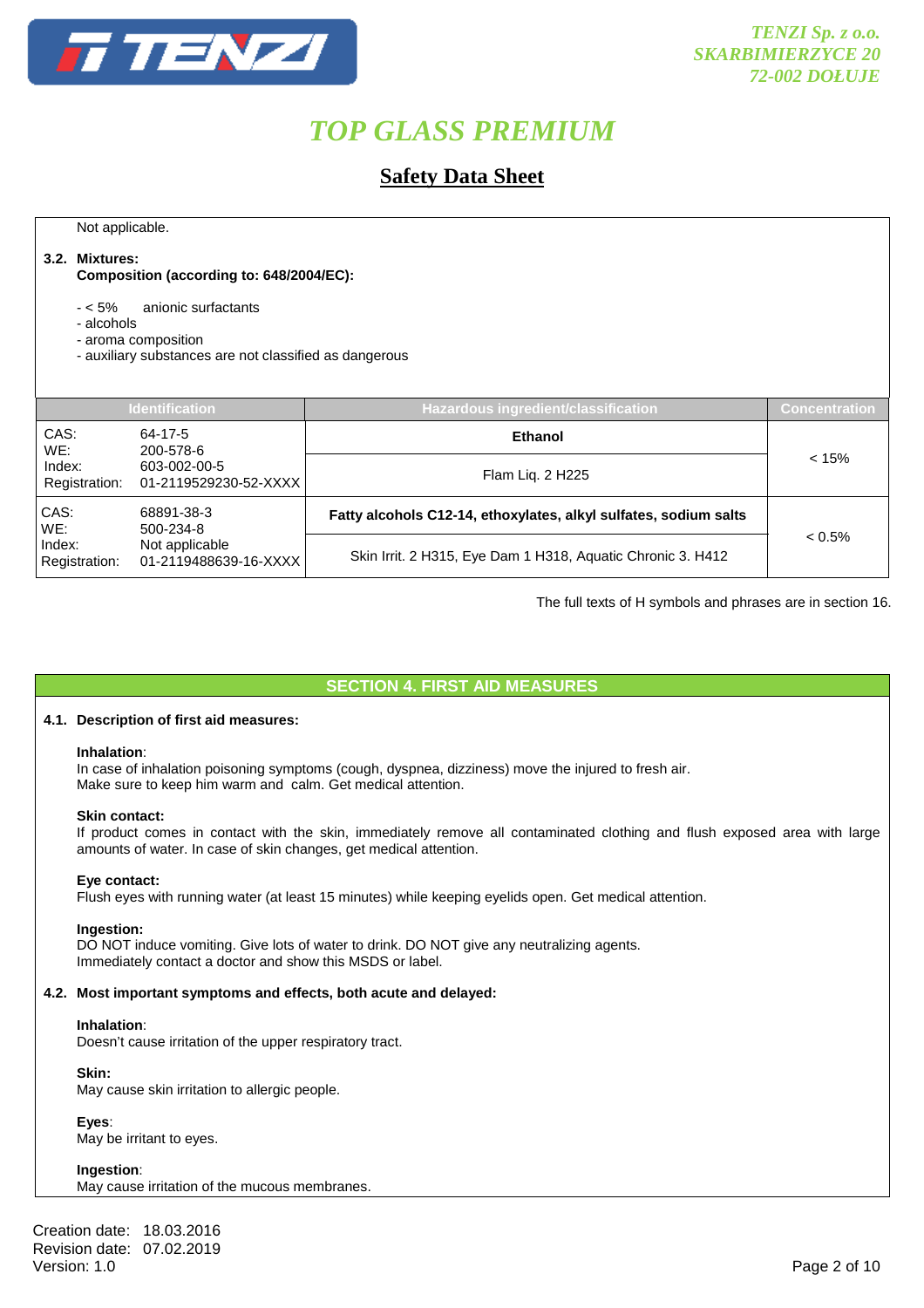

### **Safety Data Sheet**

Not applicable.

#### **3.2. Mixtures:**

 **Composition (according to: 648/2004/EC):** 

- < 5% anionic surfactants

- alcohols

- aroma composition

- auxiliary substances are not classified as dangerous

| <b>Identification</b>                                                                                        |                                                                  | <b>Hazardous ingredient/classification</b>                  | Concentration |
|--------------------------------------------------------------------------------------------------------------|------------------------------------------------------------------|-------------------------------------------------------------|---------------|
| CAS:<br>WE:                                                                                                  | 64-17-5<br>200-578-6                                             | <b>Ethanol</b>                                              |               |
| Index:<br>Registration:                                                                                      | 603-002-00-5<br>01-2119529230-52-XXXX                            | Flam Liq. 2 H225                                            | < 15%         |
| CAS:<br>68891-38-3<br>WE:<br>500-234-8<br>Index:<br>Not applicable<br>Registration:<br>01-2119488639-16-XXXX | Fatty alcohols C12-14, ethoxylates, alkyl sulfates, sodium salts |                                                             |               |
|                                                                                                              |                                                                  | Skin Irrit. 2 H315, Eye Dam 1 H318, Aquatic Chronic 3. H412 | $< 0.5\%$     |

The full texts of H symbols and phrases are in section 16.

#### **SECTION 4. FIRST AID MEASURES**

#### **4.1. Description of first aid measures:**

#### **Inhalation**:

In case of inhalation poisoning symptoms (cough, dyspnea, dizziness) move the injured to fresh air. Make sure to keep him warm and calm. Get medical attention.

#### **Skin contact:**

If product comes in contact with the skin, immediately remove all contaminated clothing and flush exposed area with large amounts of water. In case of skin changes, get medical attention.

#### **Eye contact:**

Flush eyes with running water (at least 15 minutes) while keeping eyelids open. Get medical attention.

#### **Ingestion:**

DO NOT induce vomiting. Give lots of water to drink. DO NOT give any neutralizing agents. Immediately contact a doctor and show this MSDS or label.

#### **4.2. Most important symptoms and effects, both acute and delayed:**

#### **Inhalation**:

Doesn't cause irritation of the upper respiratory tract.

#### **Skin:**

May cause skin irritation to allergic people.

 **Eyes**:

May be irritant to eyes.

 **Ingestion**: May cause irritation of the mucous membranes.

Creation date: 18.03.2016 Revision date: 07.02.2019<br>Version: 1.0 Version: 1.0 Page 2 of 10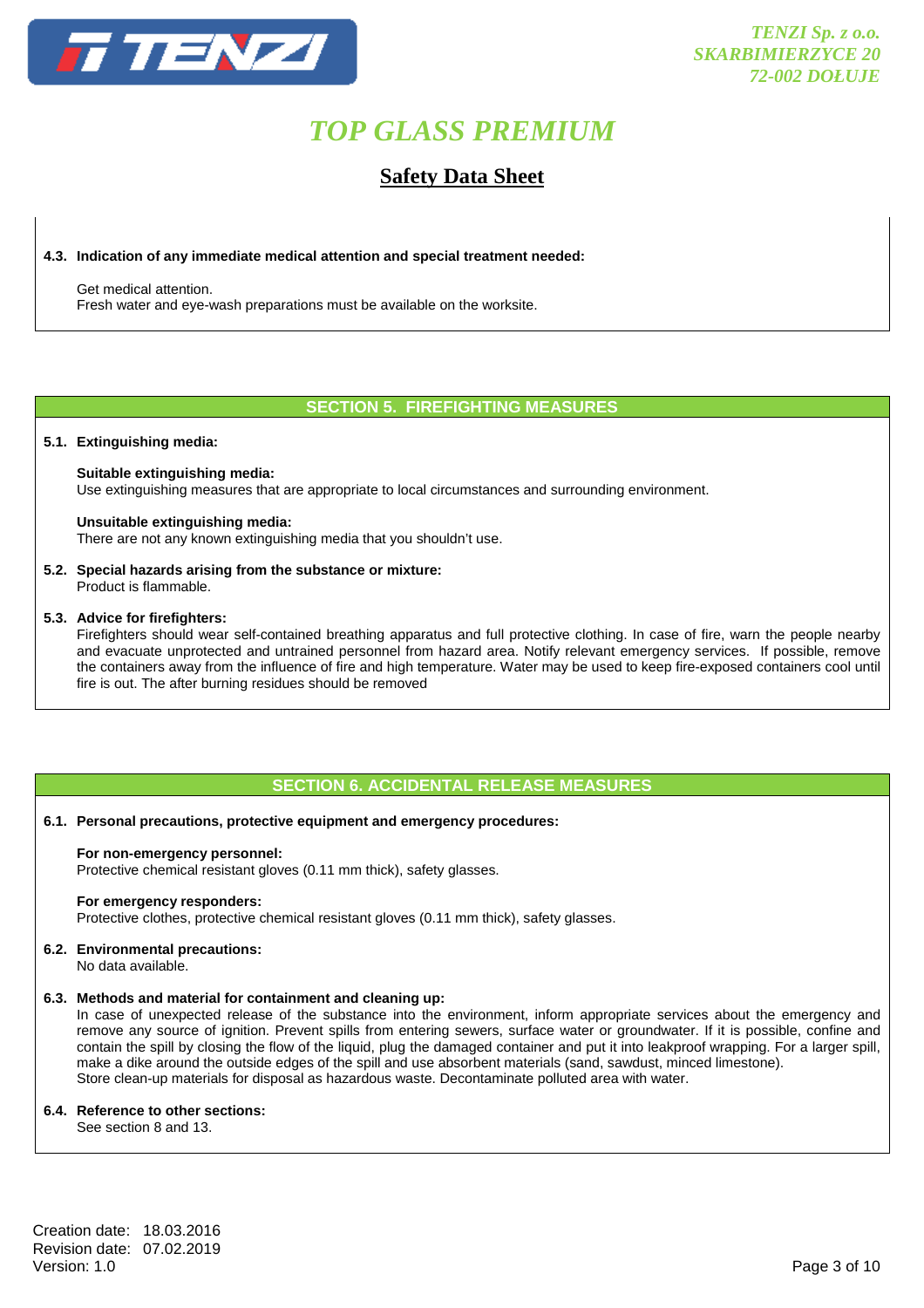

### **Safety Data Sheet**

#### **4.3. Indication of any immediate medical attention and special treatment needed:**

 Get medical attention. Fresh water and eye-wash preparations must be available on the worksite.

#### **SECTION 5. FIREFIGHTING MEASURES**

#### **5.1. Extinguishing media:**

#### **Suitable extinguishing media:**

Use extinguishing measures that are appropriate to local circumstances and surrounding environment.

#### **Unsuitable extinguishing media:**

There are not any known extinguishing media that you shouldn't use.

#### **5.2. Special hazards arising from the substance or mixture:**

Product is flammable.

#### **5.3. Advice for firefighters:**

 Firefighters should wear self-contained breathing apparatus and full protective clothing. In case of fire, warn the people nearby and evacuate unprotected and untrained personnel from hazard area. Notify relevant emergency services. If possible, remove the containers away from the influence of fire and high temperature. Water may be used to keep fire-exposed containers cool until fire is out. The after burning residues should be removed

#### **SECTION 6. ACCIDENTAL RELEASE MEASURES**

#### **6.1. Personal precautions, protective equipment and emergency procedures:**

#### **For non-emergency personnel:**

Protective chemical resistant gloves (0.11 mm thick), safety glasses.

#### **For emergency responders:**

Protective clothes, protective chemical resistant gloves (0.11 mm thick), safety glasses.

#### **6.2. Environmental precautions:**

No data available.

#### **6.3. Methods and material for containment and cleaning up:**

 In case of unexpected release of the substance into the environment, inform appropriate services about the emergency and remove any source of ignition. Prevent spills from entering sewers, surface water or groundwater. If it is possible, confine and contain the spill by closing the flow of the liquid, plug the damaged container and put it into leakproof wrapping. For a larger spill, make a dike around the outside edges of the spill and use absorbent materials (sand, sawdust, minced limestone). Store clean-up materials for disposal as hazardous waste. Decontaminate polluted area with water.

#### **6.4. Reference to other sections:**

See section 8 and 13.

Creation date: 18.03.2016 Revision date: 07.02.2019<br>Version: 1.0 Version: 1.0 Page 3 of 10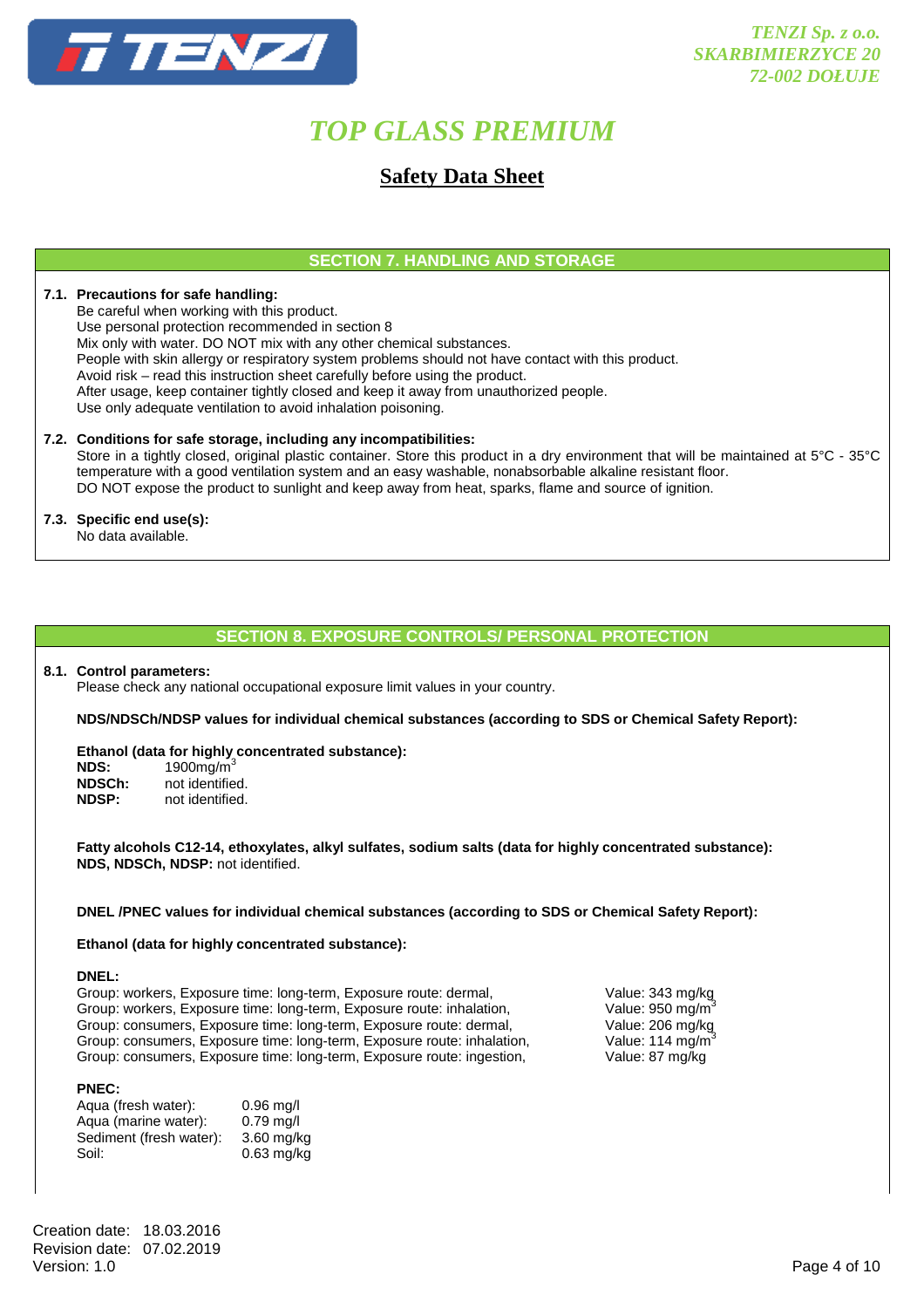

### **Safety Data Sheet**

#### **SECTION 7. HANDLING AND STORAGE**

#### **7.1. Precautions for safe handling:**

 Be careful when working with this product. Use personal protection recommended in section 8 Mix only with water. DO NOT mix with any other chemical substances. People with skin allergy or respiratory system problems should not have contact with this product. Avoid risk – read this instruction sheet carefully before using the product. After usage, keep container tightly closed and keep it away from unauthorized people. Use only adequate ventilation to avoid inhalation poisoning.

#### **7.2. Conditions for safe storage, including any incompatibilities:**

 Store in a tightly closed, original plastic container. Store this product in a dry environment that will be maintained at 5°C - 35°C temperature with a good ventilation system and an easy washable, nonabsorbable alkaline resistant floor. DO NOT expose the product to sunlight and keep away from heat, sparks, flame and source of ignition.

### **7.3. Specific end use(s):**

No data available.

#### **SECTION 8. EXPOSURE CONTROLS/ PERSONAL PROTECTION**

#### **8.1. Control parameters:**

Please check any national occupational exposure limit values in your country.

**NDS/NDSCh/NDSP values for individual chemical substances (according to SDS or Chemical Safety Report):** 

#### **Ethanol (data for highly concentrated substance):**

**NDS:** 1900mg/m<sup>3</sup> **NDSCh:** not identified.<br>**NDSP:** not identified. **NDSP:** not identified.

**Fatty alcohols C12-14, ethoxylates, alkyl sulfates, sodium salts (data for highly concentrated substance): NDS, NDSCh, NDSP:** not identified.

#### **DNEL /PNEC values for individual chemical substances (according to SDS or Chemical Safety Report):**

#### **Ethanol (data for highly concentrated substance):**

#### **DNEL:**

Group: workers, Exposure time: long-term, Exposure route: dermal, Value: 343 mg/kg<br>Group: workers, Exposure time: long-term, Exposure route: inhalation, Value: 950 mg/m<sup>3</sup> Group: workers, Exposure time: long-term, Exposure route: inhalation, Value: 950 mg/m<sup>3</sup><br>Group: consumers, Exposure time: long-term, Exposure route: dermal, Value: 206 mg/kg Group: consumers, Exposure time: long-term, Exposure route: dermal, Group: consumers, Exposure time: long-term, Exposure route: inhalation, Value: 114 mg/m<sup>3</sup> Group: consumers, Exposure time: long-term, Exposure route: ingestion, Value: 87 mg/kg

#### **PNEC:**

| Aqua (fresh water):     | $0.96$ mg/l  |
|-------------------------|--------------|
| Aqua (marine water):    | $0.79$ mg/l  |
| Sediment (fresh water): | $3.60$ mg/kg |
| Soil:                   | $0.63$ mg/kg |

Creation date: 18.03.2016 Revision date: 07.02.2019<br>Version: 1.0 Version: 1.0 Page 4 of 10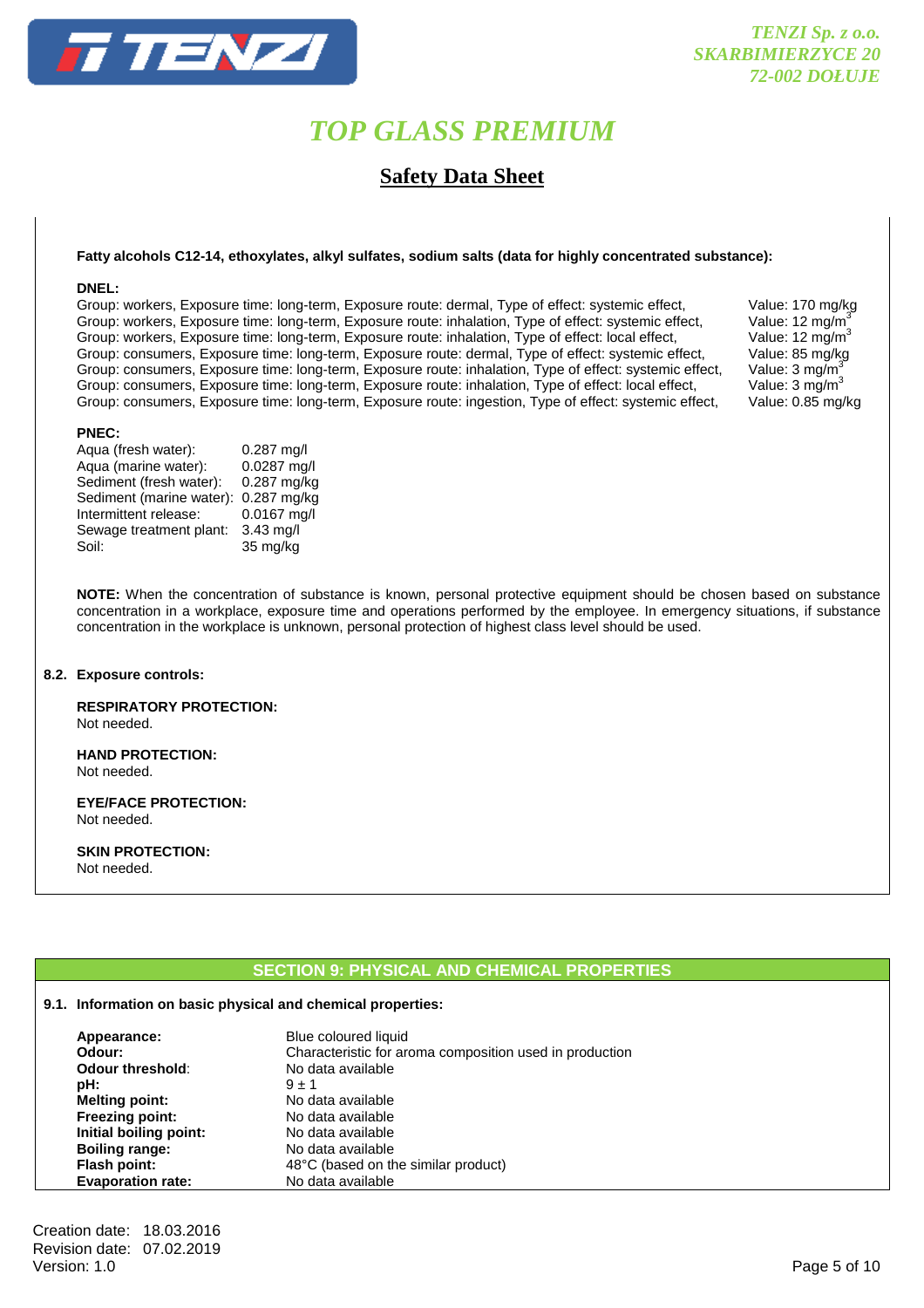

**Safety Data Sheet** 

#### **Fatty alcohols C12-14, ethoxylates, alkyl sulfates, sodium salts (data for highly concentrated substance):**

#### **DNEL:**

Group: workers, Exposure time: long-term, Exposure route: dermal, Type of effect: systemic effect, Value: 170 mg/kg Group: workers, Exposure time: long-term, Exposure route: inhalation, Type of effect: systemic effect, Value: 12 mg/m<sup>3</sup><br>Group: workers, Exposure time: long-term, Exposure route: inhalation, Type of effect: local effect, V Group: workers, Exposure time: long-term, Exposure route: inhalation, Type of effect: local effect, Value: 12 mg/m<sup>3</sup><br>Group: consumers, Exposure time: long-term, Exposure route: dermal, Type of effect: systemic effect, Val Group: consumers, Exposure time: long-term, Exposure route: dermal, Type of effect: systemic effect, Value: 85 mg/kg<br>Group: consumers, Exposure time: long-term, Exposure route: inhalation, Type of effect: systemic effect, Group: consumers, Exposure time: long-term, Exposure route: inhalation, Type of effect: systemic effect, Value: 3 mg/m<sup>3</sup> Group: consumers, Exposure time: long-term, Exposure route: inhalation, Type of effect: local effect, Value: 3 mg/m<sup>3</sup> Group: consumers, Exposure time: long-term, Exposure route: ingestion, Type of effect: systemic effect, Value: 0.85 mg/kg

#### **PNEC:**

| Aqua (fresh water):     |                          | $0.287$ mg/l  |
|-------------------------|--------------------------|---------------|
| Aqua (marine water):    |                          | 0.0287 mg/l   |
| Sediment (fresh water): |                          | 0.287 mg/kg   |
|                         | Sediment (marine water): | $0.287$ mg/kg |
| Intermittent release:   |                          | 0.0167 mg/l   |
|                         | Sewage treatment plant:  | $3.43$ mg/l   |
| Soil:                   |                          | 35 mg/kg      |
|                         |                          |               |

**NOTE:** When the concentration of substance is known, personal protective equipment should be chosen based on substance concentration in a workplace, exposure time and operations performed by the employee. In emergency situations, if substance concentration in the workplace is unknown, personal protection of highest class level should be used.

#### **8.2. Exposure controls:**

 **RESPIRATORY PROTECTION:**  Not needed.

 **HAND PROTECTION:**  Not needed.

 **EYE/FACE PROTECTION:**  Not needed.

 **SKIN PROTECTION:**  Not needed.

#### **SECTION 9: PHYSICAL AND CHEMICAL PROPERTIES**

#### **9.1. Information on basic physical and chemical properties:**

| Appearance:              | Blue coloured liquid                                    |
|--------------------------|---------------------------------------------------------|
| Odour:                   | Characteristic for aroma composition used in production |
| Odour threshold:         | No data available                                       |
| pH:                      | $9 + 1$                                                 |
| <b>Melting point:</b>    | No data available                                       |
| Freezing point:          | No data available                                       |
| Initial boiling point:   | No data available                                       |
| <b>Boiling range:</b>    | No data available                                       |
| Flash point:             | 48°C (based on the similar product)                     |
| <b>Evaporation rate:</b> | No data available                                       |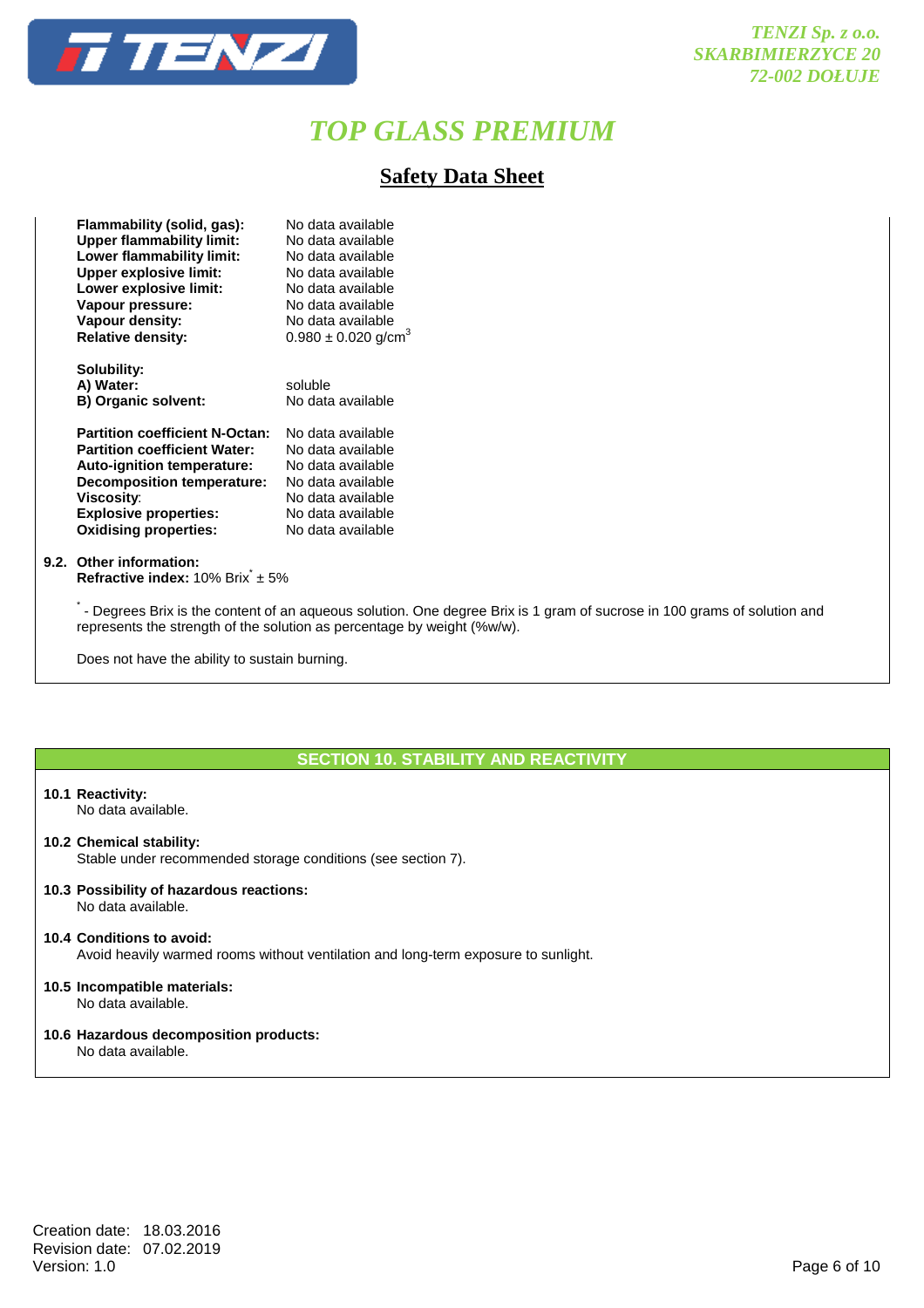

### **Safety Data Sheet**

| Flammability (solid, gas):            | No data available                   |
|---------------------------------------|-------------------------------------|
| <b>Upper flammability limit:</b>      | No data available                   |
| Lower flammability limit:             | No data available                   |
| <b>Upper explosive limit:</b>         | No data available                   |
| Lower explosive limit:                | No data available                   |
| Vapour pressure:                      | No data available                   |
| Vapour density:                       | No data available                   |
| <b>Relative density:</b>              | $0.980 \pm 0.020$ g/cm <sup>3</sup> |
|                                       |                                     |
| Solubility:                           |                                     |
| A) Water:                             | soluble                             |
| <b>B) Organic solvent:</b>            | No data available                   |
|                                       |                                     |
| <b>Partition coefficient N-Octan:</b> | No data available                   |
| <b>Partition coefficient Water:</b>   | No data available                   |
| Auto-ignition temperature:            | No data available                   |
| <b>Decomposition temperature:</b>     | No data available                   |
| <b>Viscosity:</b>                     | No data available                   |
| <b>Explosive properties:</b>          | No data available                   |
| <b>Oxidising properties:</b>          | No data available                   |
|                                       |                                     |

#### **9.2. Other information: Refractive index:** 10% Brix<sup>\*</sup> ± 5%

\* - Degrees Brix is the content of an aqueous solution. One degree Brix is 1 gram of sucrose in 100 grams of solution and represents the strength of the solution as percentage by weight (%w/w).

Does not have the ability to sustain burning.

#### **SECTION 10. STABILITY AND REACTIVITY**

#### **10.1 Reactivity:**

No data available.

**10.2 Chemical stability:**

Stable under recommended storage conditions (see section 7).

**10.3 Possibility of hazardous reactions:** No data available.

#### **10.4 Conditions to avoid:**

Avoid heavily warmed rooms without ventilation and long-term exposure to sunlight.

#### **10.5 Incompatible materials:**

No data available.

### **10.6 Hazardous decomposition products:**

No data available.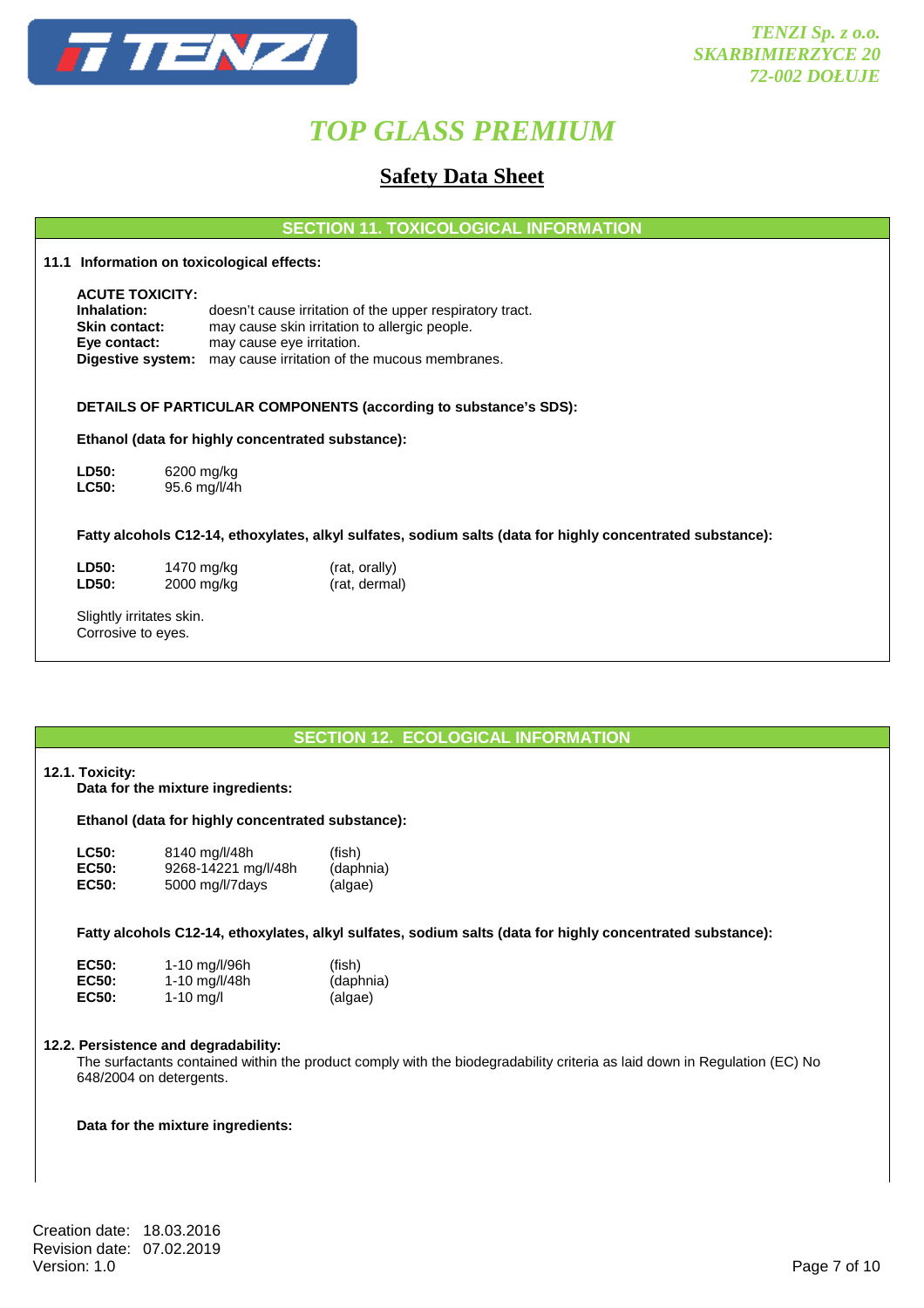

### **Safety Data Sheet**

**SECTION 11. TOXICOLOGICAL INFORMATION** 

**11.1 Information on toxicological effects:** 

 **ACUTE TOXICITY: Inhalation:** doesn't cause irritation of the upper respiratory tract. **Skin contact:** may cause skin irritation to allergic people. **Eye contact:** may cause eye irritation.  **Digestive system:** may cause irritation of the mucous membranes.

#### **DETAILS OF PARTICULAR COMPONENTS (according to substance's SDS):**

#### **Ethanol (data for highly concentrated substance):**

**LD50:** 6200 mg/kg **LC50:** 95.6 mg/l/4h

#### **Fatty alcohols C12-14, ethoxylates, alkyl sulfates, sodium salts (data for highly concentrated substance):**

**LD50:** 1470 mg/kg (rat, orally)<br> **LD50:** 2000 mg/kg (rat, derma

 $(rat, dermal)$ 

 Slightly irritates skin. Corrosive to eyes.

#### **SECTION 12. ECOLOGICAL INFORMATION**

#### **12.1. Toxicity:**

**Data for the mixture ingredients:** 

#### **Ethanol (data for highly concentrated substance):**

| <b>LC50:</b> | 8140 mg/l/48h       | (fish)    |
|--------------|---------------------|-----------|
| <b>EC50:</b> | 9268-14221 mg/l/48h | (daphnia) |
| <b>EC50:</b> | 5000 mg/l/7days     | (algae)   |

 **Fatty alcohols C12-14, ethoxylates, alkyl sulfates, sodium salts (data for highly concentrated substance):** 

| EC50:        | 1-10 mg/l/96h | (fish)    |
|--------------|---------------|-----------|
| <b>EC50:</b> | 1-10 mg/l/48h | (daphnia) |
| <b>EC50:</b> | 1-10 mg/l     | (algae)   |

#### **12.2. Persistence and degradability:**

 The surfactants contained within the product comply with the biodegradability criteria as laid down in Regulation (EC) No 648/2004 on detergents.

#### **Data for the mixture ingredients:**

Creation date: 18.03.2016 Revision date: 07.02.2019<br>Version: 1.0 Version: 1.0 Page 7 of 10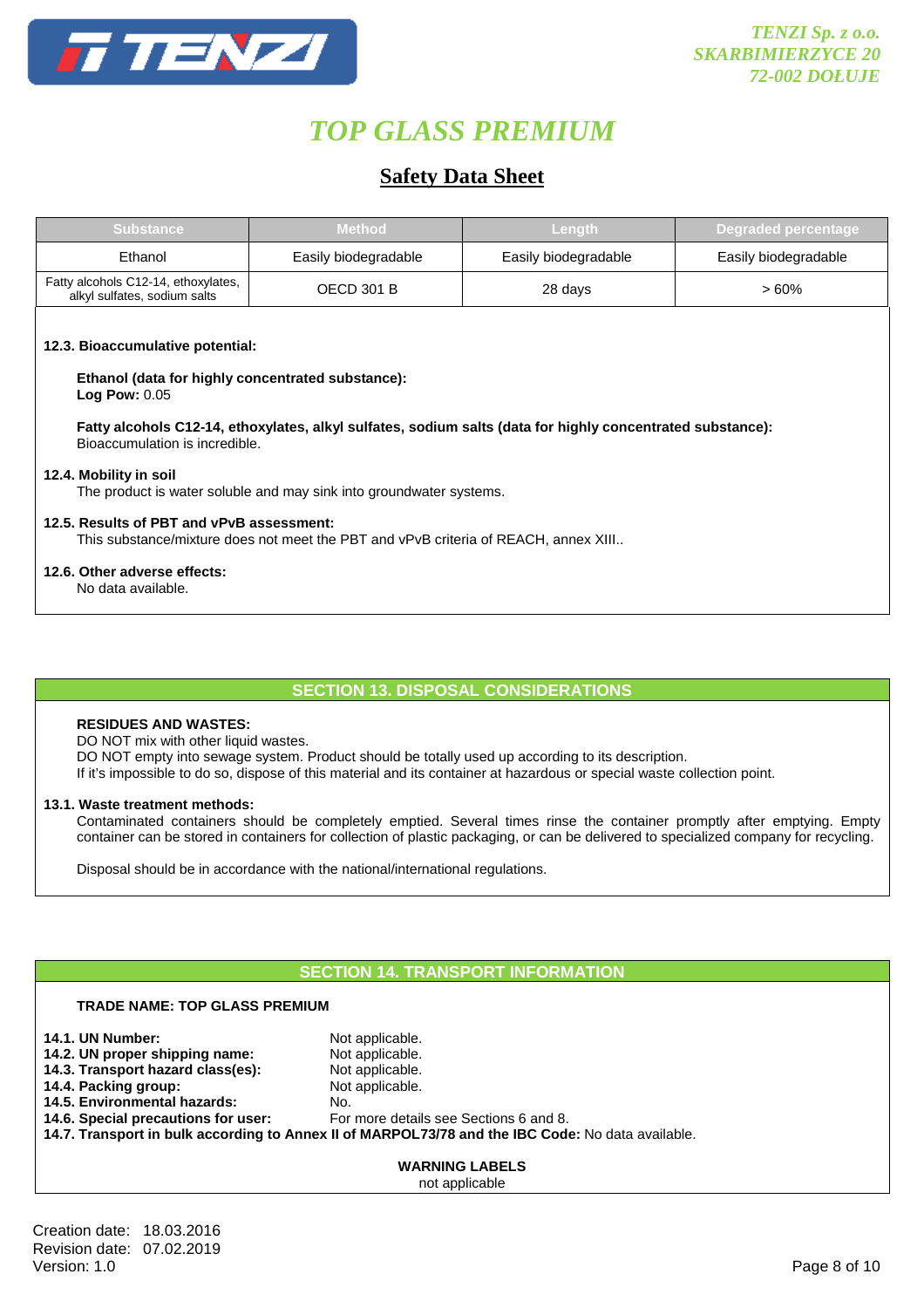

## **Safety Data Sheet**

| <b>Substance</b>                                                    | <b>Method</b>        | Lenath               | / Degraded percentage |
|---------------------------------------------------------------------|----------------------|----------------------|-----------------------|
| Ethanol                                                             | Easily biodegradable | Easily biodegradable | Easily biodegradable  |
| Fatty alcohols C12-14, ethoxylates,<br>alkyl sulfates, sodium salts | <b>OECD 301 B</b>    | 28 days              | > 60%                 |
|                                                                     |                      |                      |                       |

#### **12.3. Bioaccumulative potential:**

 **Ethanol (data for highly concentrated substance): Log Pow:** 0.05

 **Fatty alcohols C12-14, ethoxylates, alkyl sulfates, sodium salts (data for highly concentrated substance):**  Bioaccumulation is incredible.

#### **12.4. Mobility in soil**

The product is water soluble and may sink into groundwater systems.

#### **12.5. Results of PBT and vPvB assessment:**

This substance/mixture does not meet the PBT and vPvB criteria of REACH, annex XIII..

#### **12.6. Other adverse effects:**

No data available.

#### **SECTION 13. DISPOSAL CONSIDERATIONS**

#### **RESIDUES AND WASTES:**

DO NOT mix with other liquid wastes.

 **TRADE NAME: TOP GLASS PREMIUM** 

DO NOT empty into sewage system. Product should be totally used up according to its description.

If it's impossible to do so, dispose of this material and its container at hazardous or special waste collection point.

#### **13.1. Waste treatment methods:**

 Contaminated containers should be completely emptied. Several times rinse the container promptly after emptying. Empty container can be stored in containers for collection of plastic packaging, or can be delivered to specialized company for recycling.

Disposal should be in accordance with the national/international regulations.

### **SECTION 14. TRANSPORT INFORMATION**

| IRADE NAME: IOP GLASS PREMIUM       |                                                                                                   |  |
|-------------------------------------|---------------------------------------------------------------------------------------------------|--|
| <b>14.1. UN Number:</b>             | Not applicable.                                                                                   |  |
| 14.2. UN proper shipping name:      | Not applicable.                                                                                   |  |
| 14.3. Transport hazard class(es):   | Not applicable.                                                                                   |  |
| 14.4. Packing group:                | Not applicable.                                                                                   |  |
| 14.5. Environmental hazards:        | No.                                                                                               |  |
| 14.6. Special precautions for user: | For more details see Sections 6 and 8.                                                            |  |
|                                     | 14.7. Transport in bulk according to Annex II of MARPOL73/78 and the IBC Code: No data available. |  |
|                                     |                                                                                                   |  |
|                                     | <b>WARNING LABELS</b>                                                                             |  |
|                                     | not applicable                                                                                    |  |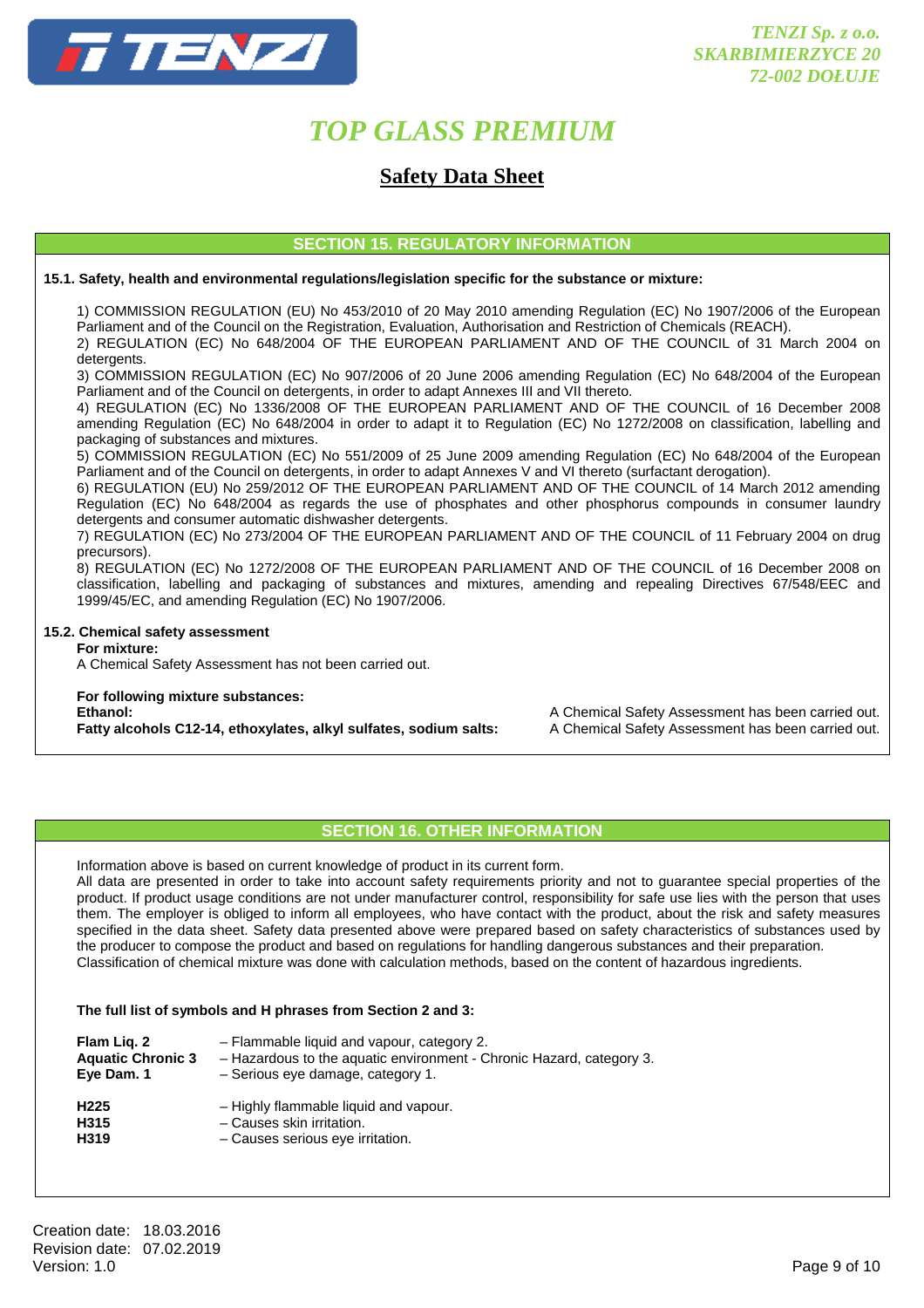

### **Safety Data Sheet**

#### **SECTION 15. REGULATORY INFORMATION**

#### **15.1. Safety, health and environmental regulations/legislation specific for the substance or mixture:**

1) COMMISSION REGULATION (EU) No 453/2010 of 20 May 2010 amending Regulation (EC) No 1907/2006 of the European Parliament and of the Council on the Registration, Evaluation, Authorisation and Restriction of Chemicals (REACH). 2) REGULATION (EC) No 648/2004 OF THE EUROPEAN PARLIAMENT AND OF THE COUNCIL of 31 March 2004 on

detergents.

 3) COMMISSION REGULATION (EC) No 907/2006 of 20 June 2006 amending Regulation (EC) No 648/2004 of the European Parliament and of the Council on detergents, in order to adapt Annexes III and VII thereto.

 4) REGULATION (EC) No 1336/2008 OF THE EUROPEAN PARLIAMENT AND OF THE COUNCIL of 16 December 2008 amending Regulation (EC) No 648/2004 in order to adapt it to Regulation (EC) No 1272/2008 on classification, labelling and packaging of substances and mixtures.

 5) COMMISSION REGULATION (EC) No 551/2009 of 25 June 2009 amending Regulation (EC) No 648/2004 of the European Parliament and of the Council on detergents, in order to adapt Annexes V and VI thereto (surfactant derogation).

 6) REGULATION (EU) No 259/2012 OF THE EUROPEAN PARLIAMENT AND OF THE COUNCIL of 14 March 2012 amending Regulation (EC) No 648/2004 as regards the use of phosphates and other phosphorus compounds in consumer laundry detergents and consumer automatic dishwasher detergents.

 7) REGULATION (EC) No 273/2004 OF THE EUROPEAN PARLIAMENT AND OF THE COUNCIL of 11 February 2004 on drug precursors).

 8) REGULATION (EC) No 1272/2008 OF THE EUROPEAN PARLIAMENT AND OF THE COUNCIL of 16 December 2008 on classification, labelling and packaging of substances and mixtures, amending and repealing Directives 67/548/EEC and 1999/45/EC, and amending Regulation (EC) No 1907/2006.

#### **15.2. Chemical safety assessment**

 **For mixture:** 

A Chemical Safety Assessment has not been carried out.

## **For following mixture substances:**

**Fatty alcohols C12-14, ethoxylates, alkyl sulfates, sodium salts:** A Chemical Safety Assessment has been carried out.

**Ethanol:** A Chemical Safety Assessment has been carried out.

#### **SECTION 16. OTHER INFORMATION**

Information above is based on current knowledge of product in its current form.

 All data are presented in order to take into account safety requirements priority and not to guarantee special properties of the product. If product usage conditions are not under manufacturer control, responsibility for safe use lies with the person that uses them. The employer is obliged to inform all employees, who have contact with the product, about the risk and safety measures specified in the data sheet. Safety data presented above were prepared based on safety characteristics of substances used by the producer to compose the product and based on regulations for handling dangerous substances and their preparation. Classification of chemical mixture was done with calculation methods, based on the content of hazardous ingredients.

#### **The full list of symbols and H phrases from Section 2 and 3:**

| Flam Lig. 2              | - Flammable liquid and vapour, category 2.                           |
|--------------------------|----------------------------------------------------------------------|
| <b>Aquatic Chronic 3</b> | - Hazardous to the aquatic environment - Chronic Hazard, category 3. |
| Eye Dam. 1               | - Serious eye damage, category 1.                                    |
| H <sub>225</sub>         | - Highly flammable liquid and vapour.                                |
| H315                     | - Causes skin irritation.                                            |
| H319                     | - Causes serious eye irritation.                                     |

Creation date: 18.03.2016 Revision date: 07.02.2019<br>Version: 1.0 Version: 1.0 Page 9 of 10